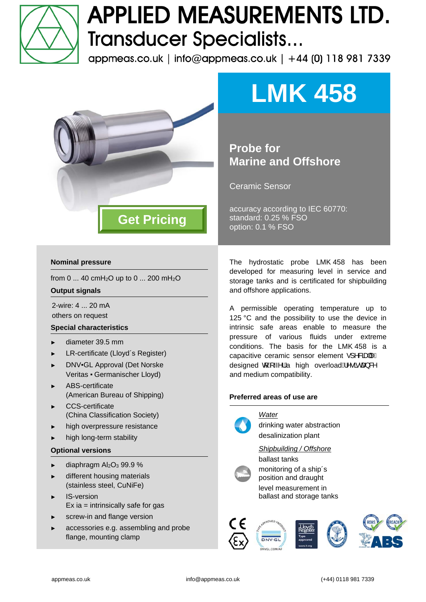

# **APPLIED MEASUREMENTS LTD. Transducer Specialists...**

appmeas.co.uk | info@appmeas.co.uk | +44 (0) 118 981 7339



## **Nominal pressure**

from 0 ... 40 cmH<sub>2</sub>O up to 0 ... 200 mH<sub>2</sub>O

#### **Output signals**

2-wire: 4 ... 20 mA others on request

### **Special characteristics**

- ► diameter 39.5 mm
- ► LR-certificate (Lloyd´s Register)
- ► DNV▪GL Approval (Det Norske Veritas ▪ Germanischer Lloyd)
- ► ABS-certificate (American Bureau of Shipping)
- ► CCS-certificate (China Classification Society)
- high overpressure resistance
- high long-term stability

#### **Optional versions**

- diaphragm  $Al_2O_3$  99.9 %
- different housing materials (stainless steel, CuNiFe)
- IS-version  $Ex$  ia = intrinsically safe for gas
- screw-in and flange version
- accessories e.g. assembling and probe flange, mounting clamp

**LMK 458** 

# **Probe for Marine and Offshore**

Ceramic Sensor

accuracy according to IEC 60770: standard: 0.25 % FSO option: 0.1 % FSO

The hydrostatic probe LMK 458 has been developed for measuring level in service and storage tanks and is certificated for shipbuilding and offshore applications.

A permissible operating temperature up to 125 °C and the possibility to use the device in intrinsic safe areas enable to measure the pressure of various fluids under extreme conditions. The basis for the LMK 458 is a capacitive ceramic sensor element ·] ^&ad|^A designed  $\oint \mathbf{A} \sim \mathbf{A} \mathbf{A}$  high overload $\mathbf{A} \sim \mathbf{A} \mathbf{B} \mathbf{A}$ and medium compatibility.

### **Preferred areas of use are**



drinking water abstraction desalinization plant

*Shipbuilding / Offshore*  ballast tanks



monitoring of a ship´s position and draught level measurement in ballast and storage tanks

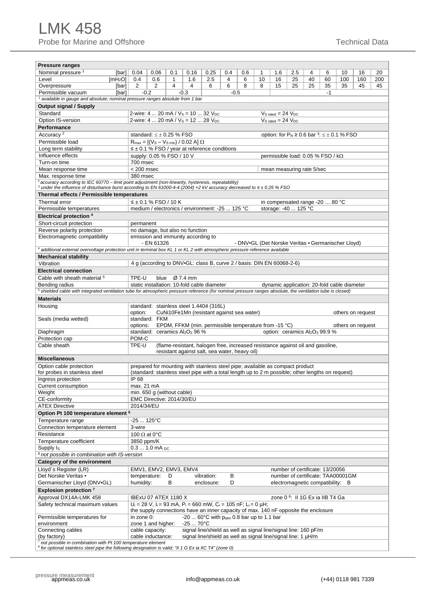| <b>Pressure ranges</b>                                                                                                                                                                                                               |                     |                                                                                                        |                                      |     |                                                                                                                                                                                    |                                                        |                                                                                                                   |     |    |                       |                                             |    |      |                                                      |                   |     |
|--------------------------------------------------------------------------------------------------------------------------------------------------------------------------------------------------------------------------------------|---------------------|--------------------------------------------------------------------------------------------------------|--------------------------------------|-----|------------------------------------------------------------------------------------------------------------------------------------------------------------------------------------|--------------------------------------------------------|-------------------------------------------------------------------------------------------------------------------|-----|----|-----------------------|---------------------------------------------|----|------|------------------------------------------------------|-------------------|-----|
| Nominal pressure <sup>1</sup>                                                                                                                                                                                                        | [bar]               | 0.04                                                                                                   | 0.06                                 | 0.1 | 0.16                                                                                                                                                                               | 0.25                                                   | 0.4                                                                                                               | 0.6 | 1  | 1.6                   | 2.5                                         | 4  | 6    | 10                                                   | 16                | 20  |
| Level                                                                                                                                                                                                                                | [mH <sub>2</sub> O] | 0.4                                                                                                    | 0.6                                  | 1   | 1.6                                                                                                                                                                                | 2.5                                                    | 4                                                                                                                 | 6   | 10 | 16                    | 25                                          | 40 | 60   | 100                                                  | 160               | 200 |
| Overpressure                                                                                                                                                                                                                         | [bar]               | 2                                                                                                      | 2                                    | 4   | 4                                                                                                                                                                                  | 6                                                      | 6                                                                                                                 | 8   | 8  | 15                    | 25                                          | 25 | 35   | 35                                                   | 45                | 45  |
| Permissible vacuum<br><sup>1</sup> available in gauge and absolute; nominal pressure ranges absolute from 1 bar                                                                                                                      | [bar]               | $-0.2$                                                                                                 |                                      |     | $-0.3$                                                                                                                                                                             |                                                        | $-0.5$                                                                                                            |     |    |                       |                                             |    | $-1$ |                                                      |                   |     |
|                                                                                                                                                                                                                                      |                     |                                                                                                        |                                      |     |                                                                                                                                                                                    |                                                        |                                                                                                                   |     |    |                       |                                             |    |      |                                                      |                   |     |
| Output signal / Supply<br>Standard                                                                                                                                                                                                   |                     |                                                                                                        |                                      |     | 2-wire: $4 \dots 20$ mA / $V_s = 10 \dots 32$ $V_{DC}$                                                                                                                             |                                                        |                                                                                                                   |     |    | $VS$ rated = 24 $VDC$ |                                             |    |      |                                                      |                   |     |
| Option IS-version                                                                                                                                                                                                                    |                     |                                                                                                        |                                      |     | 2-wire: 4  20 mA / $V_s$ = 12  28 $V_{DC}$                                                                                                                                         |                                                        |                                                                                                                   |     |    | $VS$ rated = 24 $VDC$ |                                             |    |      |                                                      |                   |     |
| Performance                                                                                                                                                                                                                          |                     |                                                                                                        |                                      |     |                                                                                                                                                                                    |                                                        |                                                                                                                   |     |    |                       |                                             |    |      |                                                      |                   |     |
| Accuracy <sup>2</sup>                                                                                                                                                                                                                |                     |                                                                                                        | standard: $\leq \pm 0.25$ % FSO      |     |                                                                                                                                                                                    |                                                        |                                                                                                                   |     |    |                       |                                             |    |      | option: for $P_N \ge 0.6$ bar $3: \le \pm 0.1$ % FSO |                   |     |
| Permissible load                                                                                                                                                                                                                     |                     |                                                                                                        |                                      |     |                                                                                                                                                                                    |                                                        |                                                                                                                   |     |    |                       |                                             |    |      |                                                      |                   |     |
| Long term stability                                                                                                                                                                                                                  |                     | $R_{max} = [(V_S - V_{S,min}) / 0.02 A] \Omega$<br>$\leq \pm 0.1$ % FSO / year at reference conditions |                                      |     |                                                                                                                                                                                    |                                                        |                                                                                                                   |     |    |                       |                                             |    |      |                                                      |                   |     |
| Influence effects                                                                                                                                                                                                                    |                     | supply: 0.05 % FSO / 10 V<br>permissible load: $0.05$ % FSO / k $\Omega$                               |                                      |     |                                                                                                                                                                                    |                                                        |                                                                                                                   |     |    |                       |                                             |    |      |                                                      |                   |     |
| Turn-on time                                                                                                                                                                                                                         |                     | 700 msec                                                                                               |                                      |     |                                                                                                                                                                                    |                                                        |                                                                                                                   |     |    |                       |                                             |    |      |                                                      |                   |     |
| Mean response time                                                                                                                                                                                                                   |                     | $< 200$ msec                                                                                           |                                      |     |                                                                                                                                                                                    |                                                        |                                                                                                                   |     |    |                       | mean measuring rate 5/sec                   |    |      |                                                      |                   |     |
| Max. response time                                                                                                                                                                                                                   |                     | 380 msec                                                                                               |                                      |     |                                                                                                                                                                                    |                                                        |                                                                                                                   |     |    |                       |                                             |    |      |                                                      |                   |     |
| accuracy according to IEC 60770 - limit point adjustment (non-linearity, hysteresis, repeatability)<br>3 under the influence of disturbance burst according to EN 61000-4-4 (2004) +2 kV accuracy decreased to $\leq \pm 0.25$ % FSO |                     |                                                                                                        |                                      |     |                                                                                                                                                                                    |                                                        |                                                                                                                   |     |    |                       |                                             |    |      |                                                      |                   |     |
| Thermal effects / Permissible temperatures                                                                                                                                                                                           |                     |                                                                                                        |                                      |     |                                                                                                                                                                                    |                                                        |                                                                                                                   |     |    |                       |                                             |    |      |                                                      |                   |     |
| Thermal error                                                                                                                                                                                                                        |                     |                                                                                                        | $≤$ ± 0.1 % FSO / 10 K               |     |                                                                                                                                                                                    |                                                        |                                                                                                                   |     |    |                       | in compensated range -20  80 °C             |    |      |                                                      |                   |     |
| Permissible temperatures                                                                                                                                                                                                             |                     |                                                                                                        |                                      |     | medium / electronics / environment: -25  125 °C                                                                                                                                    |                                                        |                                                                                                                   |     |    |                       | storage: -40  125 °C                        |    |      |                                                      |                   |     |
| Electrical protection 4                                                                                                                                                                                                              |                     |                                                                                                        |                                      |     |                                                                                                                                                                                    |                                                        |                                                                                                                   |     |    |                       |                                             |    |      |                                                      |                   |     |
| Short-circuit protection                                                                                                                                                                                                             |                     | permanent                                                                                              |                                      |     |                                                                                                                                                                                    |                                                        |                                                                                                                   |     |    |                       |                                             |    |      |                                                      |                   |     |
| Reverse polarity protection                                                                                                                                                                                                          |                     |                                                                                                        |                                      |     | no damage, but also no function                                                                                                                                                    |                                                        |                                                                                                                   |     |    |                       |                                             |    |      |                                                      |                   |     |
| Electromagnetic compatibility                                                                                                                                                                                                        |                     |                                                                                                        |                                      |     | emission and immunity according to                                                                                                                                                 |                                                        |                                                                                                                   |     |    |                       |                                             |    |      |                                                      |                   |     |
|                                                                                                                                                                                                                                      |                     |                                                                                                        | - EN 61326                           |     |                                                                                                                                                                                    |                                                        |                                                                                                                   |     |    |                       |                                             |    |      | - DNV-GL (Det Norske Veritas - Germanischer Lloyd)   |                   |     |
| <sup>4</sup> additional external overvoltage protection unit in terminal box KL 1 or KL 2 with atmospheric pressure reference available                                                                                              |                     |                                                                                                        |                                      |     |                                                                                                                                                                                    |                                                        |                                                                                                                   |     |    |                       |                                             |    |      |                                                      |                   |     |
| <b>Mechanical stability</b>                                                                                                                                                                                                          |                     |                                                                                                        |                                      |     |                                                                                                                                                                                    |                                                        |                                                                                                                   |     |    |                       |                                             |    |      |                                                      |                   |     |
| Vibration                                                                                                                                                                                                                            |                     |                                                                                                        |                                      |     | 4 g (according to DNV-GL: class B, curve 2 / basis: DIN EN 60068-2-6)                                                                                                              |                                                        |                                                                                                                   |     |    |                       |                                             |    |      |                                                      |                   |     |
| <b>Electrical connection</b>                                                                                                                                                                                                         |                     |                                                                                                        |                                      |     |                                                                                                                                                                                    |                                                        |                                                                                                                   |     |    |                       |                                             |    |      |                                                      |                   |     |
| Cable with sheath material <sup>5</sup>                                                                                                                                                                                              |                     | TPE-U                                                                                                  | blue                                 |     | Ø 7.4 mm                                                                                                                                                                           |                                                        |                                                                                                                   |     |    |                       |                                             |    |      |                                                      |                   |     |
| Bending radius                                                                                                                                                                                                                       |                     |                                                                                                        |                                      |     | static installation: 10-fold cable diameter                                                                                                                                        |                                                        |                                                                                                                   |     |    |                       |                                             |    |      | dynamic application: 20-fold cable diameter          |                   |     |
| <sup>5</sup> shielded cable with integrated ventilation tube for atmospheric pressure reference (for nominal pressure ranges absolute, the ventilation tube is closed)                                                               |                     |                                                                                                        |                                      |     |                                                                                                                                                                                    |                                                        |                                                                                                                   |     |    |                       |                                             |    |      |                                                      |                   |     |
| <b>Materials</b>                                                                                                                                                                                                                     |                     |                                                                                                        |                                      |     |                                                                                                                                                                                    |                                                        |                                                                                                                   |     |    |                       |                                             |    |      |                                                      |                   |     |
| Housing                                                                                                                                                                                                                              |                     | option:                                                                                                |                                      |     | standard: stainless steel 1.4404 (316L)<br>CuNi10Fe1Mn (resistant against sea water)                                                                                               |                                                        |                                                                                                                   |     |    |                       |                                             |    |      |                                                      | others on request |     |
| Seals (media wetted)                                                                                                                                                                                                                 |                     |                                                                                                        | standard: FKM                        |     |                                                                                                                                                                                    |                                                        |                                                                                                                   |     |    |                       |                                             |    |      |                                                      |                   |     |
|                                                                                                                                                                                                                                      |                     | options:                                                                                               |                                      |     | EPDM, FFKM (min. permissible temperature from -15 °C)                                                                                                                              |                                                        |                                                                                                                   |     |    |                       |                                             |    |      |                                                      | others on request |     |
| Diaphragm                                                                                                                                                                                                                            |                     |                                                                                                        |                                      |     | standard: ceramics Al <sub>2</sub> O <sub>3</sub> 96 %                                                                                                                             |                                                        |                                                                                                                   |     |    |                       | option: ceramics $Al_2O_3$ 99.9 %           |    |      |                                                      |                   |     |
| Protection cap                                                                                                                                                                                                                       |                     | POM-C                                                                                                  |                                      |     |                                                                                                                                                                                    |                                                        |                                                                                                                   |     |    |                       |                                             |    |      |                                                      |                   |     |
| Cable sheath                                                                                                                                                                                                                         |                     | TPE-U                                                                                                  |                                      |     | (flame-resistant, halogen free, increased resistance against oil and gasoline,                                                                                                     |                                                        |                                                                                                                   |     |    |                       |                                             |    |      |                                                      |                   |     |
|                                                                                                                                                                                                                                      |                     |                                                                                                        |                                      |     | resistant against salt, sea water, heavy oil)                                                                                                                                      |                                                        |                                                                                                                   |     |    |                       |                                             |    |      |                                                      |                   |     |
| <b>Miscellaneous</b>                                                                                                                                                                                                                 |                     |                                                                                                        |                                      |     |                                                                                                                                                                                    |                                                        |                                                                                                                   |     |    |                       |                                             |    |      |                                                      |                   |     |
| Option cable protection<br>for probes in stainless steel                                                                                                                                                                             |                     |                                                                                                        |                                      |     | prepared for mounting with stainless steel pipe; available as compact product<br>(standard: stainless steel pipe with a total length up to 2 m possible; other lengths on request) |                                                        |                                                                                                                   |     |    |                       |                                             |    |      |                                                      |                   |     |
| Ingress protection                                                                                                                                                                                                                   |                     | IP 68                                                                                                  |                                      |     |                                                                                                                                                                                    |                                                        |                                                                                                                   |     |    |                       |                                             |    |      |                                                      |                   |     |
| Current consumption                                                                                                                                                                                                                  |                     | max. 21 mA                                                                                             |                                      |     |                                                                                                                                                                                    |                                                        |                                                                                                                   |     |    |                       |                                             |    |      |                                                      |                   |     |
| Weight                                                                                                                                                                                                                               |                     |                                                                                                        | min. 650 g (without cable)           |     |                                                                                                                                                                                    |                                                        |                                                                                                                   |     |    |                       |                                             |    |      |                                                      |                   |     |
| CE-conformity                                                                                                                                                                                                                        |                     | EMC Directive: 2014/30/EU                                                                              |                                      |     |                                                                                                                                                                                    |                                                        |                                                                                                                   |     |    |                       |                                             |    |      |                                                      |                   |     |
| <b>ATEX Directive</b>                                                                                                                                                                                                                |                     | 2014/34/EU                                                                                             |                                      |     |                                                                                                                                                                                    |                                                        |                                                                                                                   |     |    |                       |                                             |    |      |                                                      |                   |     |
| Option Pt 100 temperature element 6                                                                                                                                                                                                  |                     |                                                                                                        |                                      |     |                                                                                                                                                                                    |                                                        |                                                                                                                   |     |    |                       |                                             |    |      |                                                      |                   |     |
| Temperature range                                                                                                                                                                                                                    |                     | -25  125°C                                                                                             |                                      |     |                                                                                                                                                                                    |                                                        |                                                                                                                   |     |    |                       |                                             |    |      |                                                      |                   |     |
| Connection temperature element                                                                                                                                                                                                       |                     | 3-wire                                                                                                 |                                      |     |                                                                                                                                                                                    |                                                        |                                                                                                                   |     |    |                       |                                             |    |      |                                                      |                   |     |
| Resistance                                                                                                                                                                                                                           |                     | 100 $\Omega$ at 0°C                                                                                    |                                      |     |                                                                                                                                                                                    |                                                        |                                                                                                                   |     |    |                       |                                             |    |      |                                                      |                   |     |
| Temperature coefficient                                                                                                                                                                                                              |                     | 3850 ppm/K                                                                                             |                                      |     |                                                                                                                                                                                    |                                                        |                                                                                                                   |     |    |                       |                                             |    |      |                                                      |                   |     |
| Supply Is<br><sup>6</sup> not possible in combination with IS-version                                                                                                                                                                |                     |                                                                                                        | $0.31.0$ mA pc                       |     |                                                                                                                                                                                    |                                                        |                                                                                                                   |     |    |                       |                                             |    |      |                                                      |                   |     |
| <b>Category of the environment</b>                                                                                                                                                                                                   |                     |                                                                                                        |                                      |     |                                                                                                                                                                                    |                                                        |                                                                                                                   |     |    |                       |                                             |    |      |                                                      |                   |     |
| Lloyd's Register (LR)                                                                                                                                                                                                                |                     |                                                                                                        | EMV1, EMV2, EMV3, EMV4               |     |                                                                                                                                                                                    |                                                        |                                                                                                                   |     |    |                       | number of certificate: 13/20056             |    |      |                                                      |                   |     |
| Det Norske Veritas -                                                                                                                                                                                                                 |                     | temperature:                                                                                           |                                      | D   |                                                                                                                                                                                    | vibration:                                             | В                                                                                                                 |     |    |                       |                                             |    |      | number of certificate: TAA00001GM                    |                   |     |
| Germanischer Lloyd (DNV-GL)                                                                                                                                                                                                          |                     | humidity:                                                                                              |                                      | В   |                                                                                                                                                                                    | enclosure:                                             | D                                                                                                                 |     |    |                       | electromagnetic compatibility: B            |    |      |                                                      |                   |     |
| Explosion protection <sup>7</sup>                                                                                                                                                                                                    |                     |                                                                                                        |                                      |     |                                                                                                                                                                                    |                                                        |                                                                                                                   |     |    |                       |                                             |    |      |                                                      |                   |     |
| Approval DX14A-LMK 458                                                                                                                                                                                                               |                     |                                                                                                        | IBExU 07 ATEX 1180 X                 |     |                                                                                                                                                                                    |                                                        |                                                                                                                   |     |    |                       | zone 0 <sup>8</sup> : Il 1G Ex ia IIB T4 Ga |    |      |                                                      |                   |     |
| Safety technical maximum values                                                                                                                                                                                                      |                     |                                                                                                        |                                      |     | $U_i = 28$ V, $I_i = 93$ mA, $P_i = 660$ mW, $C_i = 105$ nF; $L_i = 0$ $\mu$ H;                                                                                                    |                                                        |                                                                                                                   |     |    |                       |                                             |    |      |                                                      |                   |     |
|                                                                                                                                                                                                                                      |                     |                                                                                                        |                                      |     | the supply connections have an inner capacity of max. 140 nF opposite the enclosure                                                                                                |                                                        |                                                                                                                   |     |    |                       |                                             |    |      |                                                      |                   |     |
| Permissible temperatures for                                                                                                                                                                                                         |                     | in zone 0:                                                                                             |                                      |     |                                                                                                                                                                                    | $-20$ 60°C with p <sub>atm</sub> 0.8 bar up to 1.1 bar |                                                                                                                   |     |    |                       |                                             |    |      |                                                      |                   |     |
| environment                                                                                                                                                                                                                          |                     |                                                                                                        | zone 1 and higher:                   |     | $-2570^{\circ}C$                                                                                                                                                                   |                                                        |                                                                                                                   |     |    |                       |                                             |    |      |                                                      |                   |     |
| Connecting cables<br>(by factory)                                                                                                                                                                                                    |                     |                                                                                                        | cable capacity:<br>cable inductance: |     | signal line/shield as well as signal line/signal line: 160 pF/m<br>signal line/shield as well as signal line/signal line: 1 µH/m                                                   |                                                        |                                                                                                                   |     |    |                       |                                             |    |      |                                                      |                   |     |
|                                                                                                                                                                                                                                      |                     |                                                                                                        |                                      |     |                                                                                                                                                                                    |                                                        |                                                                                                                   |     |    |                       |                                             |    |      |                                                      |                   |     |
| not possible in combination with Pt 100 temperature element                                                                                                                                                                          |                     |                                                                                                        |                                      |     |                                                                                                                                                                                    |                                                        | <sup>8</sup> for optional stainless steel pipe the following designation is valid: "II 1 G Ex ia IIC T4" (zone 0) |     |    |                       |                                             |    |      |                                                      |                   |     |

 $\overline{a}$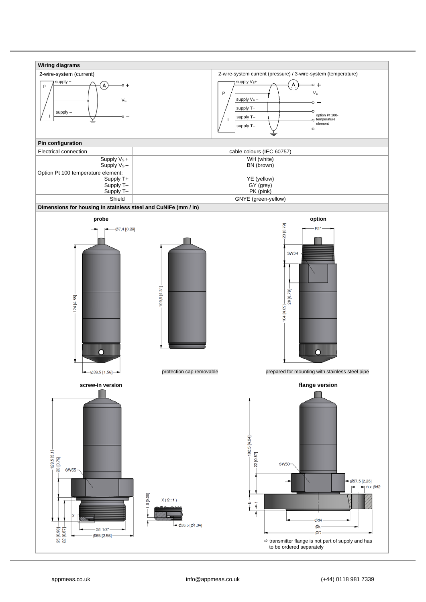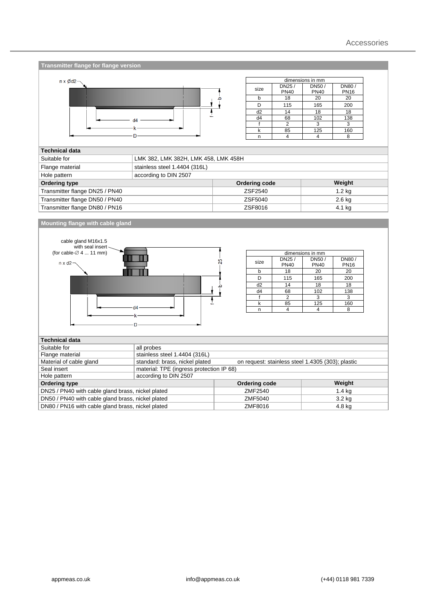| Transmitter flange for flange version                                                                                                                                                                                                                                                                     |                                          |                                                   |                                                                 |                                                                         |                                                     |  |  |
|-----------------------------------------------------------------------------------------------------------------------------------------------------------------------------------------------------------------------------------------------------------------------------------------------------------|------------------------------------------|---------------------------------------------------|-----------------------------------------------------------------|-------------------------------------------------------------------------|-----------------------------------------------------|--|--|
|                                                                                                                                                                                                                                                                                                           |                                          |                                                   |                                                                 |                                                                         |                                                     |  |  |
| $n \times \emptyset$ d2-                                                                                                                                                                                                                                                                                  |                                          |                                                   | DN25 /                                                          | dimensions in mm<br><b>DN80/</b><br>DN50/                               |                                                     |  |  |
|                                                                                                                                                                                                                                                                                                           |                                          | size                                              | <b>PN40</b>                                                     | <b>PN40</b>                                                             | <b>PN16</b>                                         |  |  |
|                                                                                                                                                                                                                                                                                                           |                                          | $\mathsf b$                                       | 18                                                              | 20                                                                      | 20                                                  |  |  |
|                                                                                                                                                                                                                                                                                                           |                                          | D                                                 | 115                                                             | 165                                                                     | 200                                                 |  |  |
|                                                                                                                                                                                                                                                                                                           |                                          | d2                                                | 14                                                              | 18                                                                      | 18                                                  |  |  |
|                                                                                                                                                                                                                                                                                                           |                                          | d4                                                | 68                                                              | 102                                                                     | 138                                                 |  |  |
|                                                                                                                                                                                                                                                                                                           |                                          | $\mathsf{f}$<br>k                                 | $\mathbf{2}$<br>85                                              | 3<br>125                                                                | 3<br>160                                            |  |  |
|                                                                                                                                                                                                                                                                                                           |                                          | n                                                 | 4                                                               | $\overline{4}$                                                          | 8                                                   |  |  |
|                                                                                                                                                                                                                                                                                                           |                                          |                                                   |                                                                 |                                                                         |                                                     |  |  |
| <b>Technical data</b>                                                                                                                                                                                                                                                                                     |                                          |                                                   |                                                                 |                                                                         |                                                     |  |  |
| Suitable for                                                                                                                                                                                                                                                                                              | LMK 382, LMK 382H, LMK 458, LMK 458H     |                                                   |                                                                 |                                                                         |                                                     |  |  |
| Flange material                                                                                                                                                                                                                                                                                           | stainless steel 1.4404 (316L)            |                                                   |                                                                 |                                                                         |                                                     |  |  |
| Hole pattern                                                                                                                                                                                                                                                                                              | according to DIN 2507                    |                                                   |                                                                 |                                                                         |                                                     |  |  |
| <b>Ordering type</b>                                                                                                                                                                                                                                                                                      |                                          | Ordering code                                     |                                                                 |                                                                         | Weight                                              |  |  |
| Transmitter flange DN25 / PN40                                                                                                                                                                                                                                                                            |                                          | ZSF2540                                           |                                                                 |                                                                         | $1.2$ kg                                            |  |  |
| Transmitter flange DN50 / PN40                                                                                                                                                                                                                                                                            |                                          | ZSF5040                                           |                                                                 |                                                                         | 2.6 kg                                              |  |  |
| Transmitter flange DN80 / PN16                                                                                                                                                                                                                                                                            |                                          | ZSF8016                                           | 4.1 kg                                                          |                                                                         |                                                     |  |  |
| Mounting flange with cable gland<br>cable gland M16x1.5<br>with seal insert                                                                                                                                                                                                                               |                                          |                                                   |                                                                 |                                                                         |                                                     |  |  |
| (for cable- $\varnothing$ 4  11 mm)<br>$n \times d2$                                                                                                                                                                                                                                                      |                                          | ဣ<br>size<br>b<br>D<br>d2<br>d4<br>$\mathsf{f}$   | DN25/<br><b>PN40</b><br>18<br>115<br>14<br>68<br>$\overline{2}$ | dimensions in mm<br>DN50/<br><b>PN40</b><br>20<br>165<br>18<br>102<br>3 | DN80/<br><b>PN16</b><br>20<br>200<br>18<br>138<br>3 |  |  |
|                                                                                                                                                                                                                                                                                                           |                                          | k                                                 | 85                                                              | 125                                                                     | 160                                                 |  |  |
|                                                                                                                                                                                                                                                                                                           |                                          | n                                                 | $\overline{4}$                                                  | 4                                                                       | 8                                                   |  |  |
|                                                                                                                                                                                                                                                                                                           |                                          |                                                   |                                                                 |                                                                         |                                                     |  |  |
|                                                                                                                                                                                                                                                                                                           | all probes                               |                                                   |                                                                 |                                                                         |                                                     |  |  |
|                                                                                                                                                                                                                                                                                                           | stainless steel 1.4404 (316L)            |                                                   |                                                                 |                                                                         |                                                     |  |  |
|                                                                                                                                                                                                                                                                                                           | standard: brass, nickel plated           | on request: stainless steel 1.4305 (303); plastic |                                                                 |                                                                         |                                                     |  |  |
|                                                                                                                                                                                                                                                                                                           | material: TPE (ingress protection IP 68) |                                                   |                                                                 |                                                                         |                                                     |  |  |
|                                                                                                                                                                                                                                                                                                           | according to DIN 2507                    |                                                   |                                                                 |                                                                         |                                                     |  |  |
|                                                                                                                                                                                                                                                                                                           |                                          | <b>Ordering code</b>                              |                                                                 |                                                                         | Weight                                              |  |  |
|                                                                                                                                                                                                                                                                                                           |                                          | ZMF2540                                           |                                                                 |                                                                         | $1.4$ kg                                            |  |  |
| <b>Technical data</b><br>Suitable for<br>Flange material<br>Material of cable gland<br>Seal insert<br>Hole pattern<br><b>Ordering type</b><br>DN25 / PN40 with cable gland brass, nickel plated<br>DN50 / PN40 with cable gland brass, nickel plated<br>DN80 / PN16 with cable gland brass, nickel plated |                                          | ZMF5040                                           |                                                                 |                                                                         | 3.2 kg                                              |  |  |